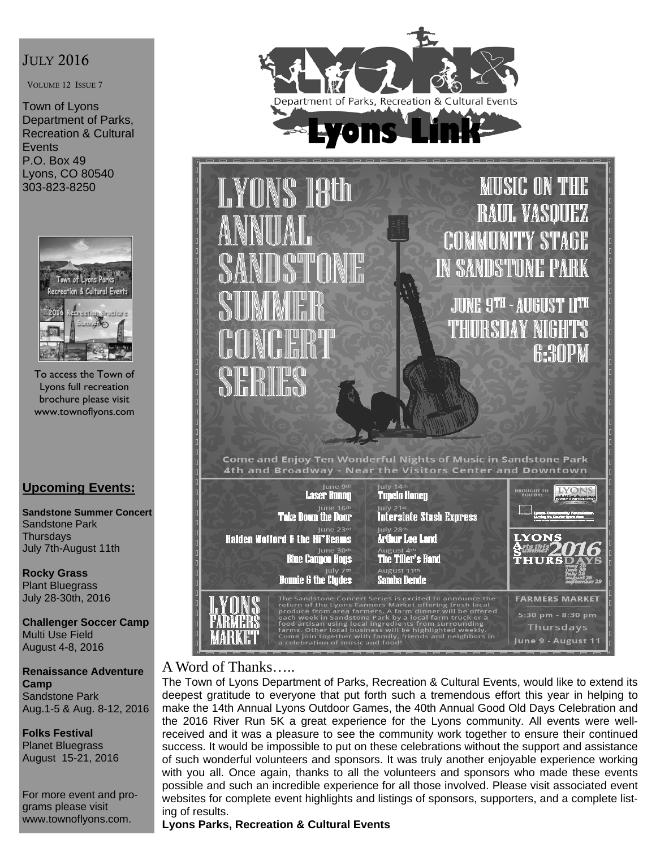# JULY 2016

VOLUME 12 ISSUE 7

Town of Lyons Department of Parks, Recreation & Cultural **Events** P.O. Box 49 Lyons, CO 80540 303-823-8250



To access the Town of Lyons full recreation brochure please visit www.townoflyons.com

# **Upcoming Events:**

**Sandstone Summer Concert**  Sandstone Park **Thursdays** July 7th-August 11th

**Rocky Grass**  Plant Bluegrass July 28-30th, 2016

**Challenger Soccer Camp**  Multi Use Field August 4-8, 2016

**Renaissance Adventure Camp**  Sandstone Park Aug.1-5 & Aug. 8-12, 2016

**Folks Festival**  Planet Bluegrass August 15-21, 2016

For more event and programs please visit www.townoflyons.com.





# A Word of Thanks…..

The Town of Lyons Department of Parks, Recreation & Cultural Events, would like to extend its deepest gratitude to everyone that put forth such a tremendous effort this year in helping to make the 14th Annual Lyons Outdoor Games, the 40th Annual Good Old Days Celebration and the 2016 River Run 5K a great experience for the Lyons community. All events were wellreceived and it was a pleasure to see the community work together to ensure their continued success. It would be impossible to put on these celebrations without the support and assistance of such wonderful volunteers and sponsors. It was truly another enjoyable experience working with you all. Once again, thanks to all the volunteers and sponsors who made these events possible and such an incredible experience for all those involved. Please visit associated event websites for complete event highlights and listings of sponsors, supporters, and a complete listing of results.

**Lyons Parks, Recreation & Cultural Events**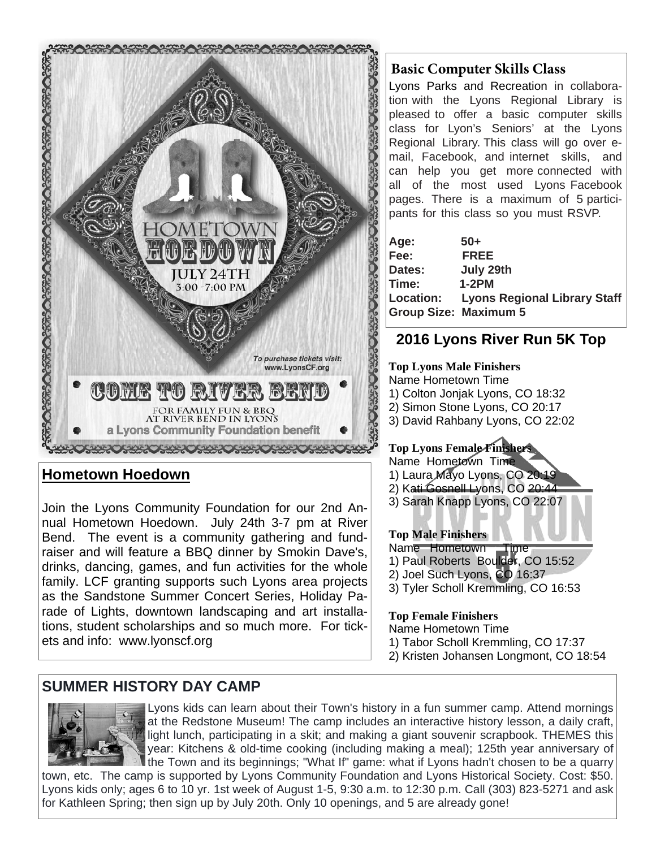

# **Hometown Hoedown**

Join the Lyons Community Foundation for our 2nd Annual Hometown Hoedown. July 24th 3-7 pm at River Bend. The event is a community gathering and fundraiser and will feature a BBQ dinner by Smokin Dave's, drinks, dancing, games, and fun activities for the whole family. LCF granting supports such Lyons area projects as the Sandstone Summer Concert Series, Holiday Parade of Lights, downtown landscaping and art installations, student scholarships and so much more. For tickets and info: www.lyonscf.org

# **SUMMER HISTORY DAY CAMP**



Lyons kids can learn about their Town's history in a fun summer camp. Attend mornings at the Redstone Museum! The camp includes an interactive history lesson, a daily craft, light lunch, participating in a skit; and making a giant souvenir scrapbook. THEMES this year: Kitchens & old-time cooking (including making a meal); 125th year anniversary of I the Town and its beginnings; "What If" game: what if Lyons hadn't chosen to be a quarry

town, etc. The camp is supported by Lyons Community Foundation and Lyons Historical Society. Cost: \$50. Lyons kids only; ages 6 to 10 yr. 1st week of August 1-5, 9:30 a.m. to 12:30 p.m. Call (303) 823-5271 and ask for Kathleen Spring; then sign up by July 20th. Only 10 openings, and 5 are already gone!

## **Basic Computer Skills Class**

Lyons Parks and Recreation in collaboration with the Lyons Regional Library is pleased to offer a basic computer skills class for Lyon's Seniors' at the Lyons Regional Library. This class will go over email, Facebook, and internet skills, and can help you get more connected with all of the most used Lyons Facebook pages. There is a maximum of 5 participants for this class so you must RSVP.

| Age:                         | $50+$                                  |
|------------------------------|----------------------------------------|
| Fee:                         | <b>FREE</b>                            |
| Dates:                       | July 29th                              |
| Time:                        | $1-2PM$                                |
|                              | Location: Lyons Regional Library Staff |
| <b>Group Size: Maximum 5</b> |                                        |

# **2016 Lyons River Run 5K Top**

#### **Top Lyons Male Finishers**  Name Hometown Time 1) Colton Jonjak Lyons, CO 18:32 2) Simon Stone Lyons, CO 20:17

3) David Rahbany Lyons, CO 22:02

## **Top Lyons Female Finishers**

Name Hometown Time 1) Laura Mayo Lyons, CO 20:19 2) Kati Gosnell Lyons, CO 20:44 3) Sarah Knapp Lyons, CO 22:07

#### **Top Male Finishers**

Name Hometown Time 1) Paul Roberts Boulder, CO 15:52 2) Joel Such Lyons, CO 16:37

3) Tyler Scholl Kremmling, CO 16:53

#### **Top Female Finishers**

Name Hometown Time

- 1) Tabor Scholl Kremmling, CO 17:37
- 2) Kristen Johansen Longmont, CO 18:54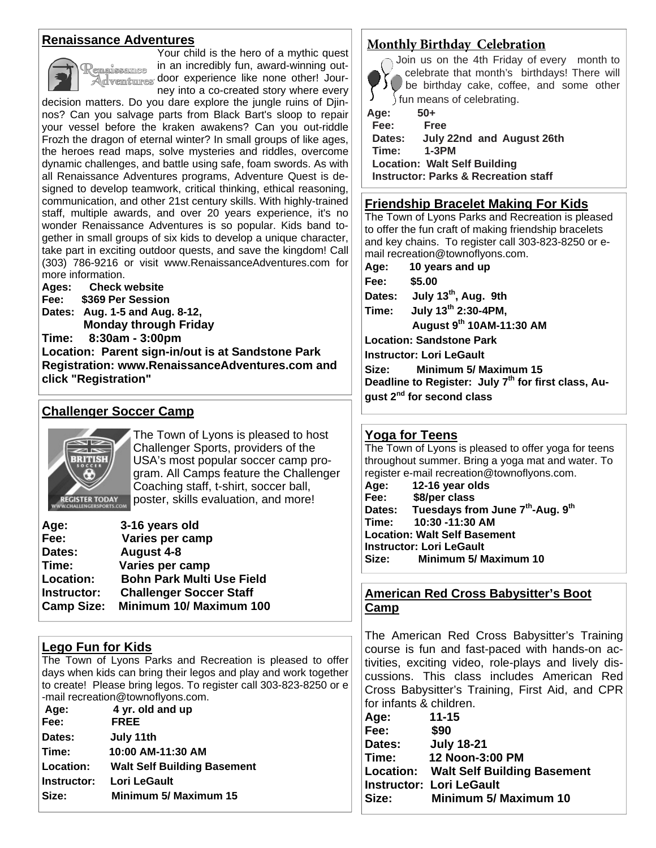#### **Renaissance Adventures**



Your child is the hero of a mythic quest in an incredibly fun, award-winning outenaissamee Adventures door experience like none other! Journey into a co-created story where every

decision matters. Do you dare explore the jungle ruins of Djinnos? Can you salvage parts from Black Bart's sloop to repair your vessel before the kraken awakens? Can you out-riddle Frozh the dragon of eternal winter? In small groups of like ages, the heroes read maps, solve mysteries and riddles, overcome dynamic challenges, and battle using safe, foam swords. As with all Renaissance Adventures programs, Adventure Quest is designed to develop teamwork, critical thinking, ethical reasoning, communication, and other 21st century skills. With highly-trained staff, multiple awards, and over 20 years experience, it's no wonder Renaissance Adventures is so popular. Kids band together in small groups of six kids to develop a unique character, take part in exciting outdoor quests, and save the kingdom! Call (303) 786-9216 or visit www.RenaissanceAdventures.com for more information.

**Ages: Check website Fee: \$369 Per Session Dates: Aug. 1-5 and Aug. 8-12, Monday through Friday Time: 8:30am - 3:00pm Location: Parent sign-in/out is at Sandstone Park Registration: www.RenaissanceAdventures.com and click "Registration"** 

## **Challenger Soccer Camp**



The Town of Lyons is pleased to host Challenger Sports, providers of the USA's most popular soccer camp program. All Camps feature the Challenger Coaching staff, t-shirt, soccer ball, poster, skills evaluation, and more!

| Age:              | 3-16 years old                   |
|-------------------|----------------------------------|
| Fee:              | Varies per camp                  |
| Dates:            | August 4-8                       |
| Time:             | Varies per camp                  |
| Location:         | <b>Bohn Park Multi Use Field</b> |
| Instructor:       | <b>Challenger Soccer Staff</b>   |
| <b>Camp Size:</b> | Minimum 10/ Maximum 100          |

## **Lego Fun for Kids**

The Town of Lyons Parks and Recreation is pleased to offer days when kids can bring their legos and play and work together to create! Please bring legos. To register call 303-823-8250 or e -mail recreation@townoflyons.com.

| Age:        | 4 yr. old and up                   |
|-------------|------------------------------------|
| Fee:        | <b>FREE</b>                        |
| Dates:      | July 11th                          |
| Time:       | 10:00 AM-11:30 AM                  |
| Location:   | <b>Walt Self Building Basement</b> |
| Instructor: | Lori LeGault                       |
| Size:       | <b>Minimum 5/ Maximum 15</b>       |

#### **Monthly Birthday Celebration**



Join us on the 4th Friday of every month to celebrate that month's birthdays! There will be birthday cake, coffee, and some other fun means of celebrating.

**Age: 50+ Fee: Free Dates: July 22nd and August 26th Time: 1-3PM Location: Walt Self Building Instructor: Parks & Recreation staff**

#### **Friendship Bracelet Making For Kids**

The Town of Lyons Parks and Recreation is pleased to offer the fun craft of making friendship bracelets and key chains. To register call 303-823-8250 or email recreation@townoflyons.com.

**Age: 10 years and up Fee: \$5.00 Dates: July 13th, Aug. 9th Time: July 13th 2:30-4PM, August 9th 10AM-11:30 AM Location: Sandstone Park Instructor: Lori LeGault Size: Minimum 5/ Maximum 15** 

**Deadline to Register: July 7th for first class, August 2nd for second class** 

#### **Yoga for Teens**

The Town of Lyons is pleased to offer yoga for teens throughout summer. Bring a yoga mat and water. To register e-mail recreation@townoflyons.com. **Age: 12-16 year olds Fee: \$8/per class Dates: Tuesdays from June 7th-Aug. 9th Time: 10:30 -11:30 AM Location: Walt Self Basement Instructor: Lori LeGault Size: Minimum 5/ Maximum 10** 

#### **American Red Cross Babysitter's Boot Camp**

The American Red Cross Babysitter's Training course is fun and fast-paced with hands-on activities, exciting video, role-plays and lively discussions. This class includes American Red Cross Babysitter's Training, First Aid, and CPR for infants & children.

| Age:   | $11 - 15$                                    |
|--------|----------------------------------------------|
| Fee:   | \$90                                         |
| Dates: | <b>July 18-21</b>                            |
| Time:  | 12 Noon-3:00 PM                              |
|        | <b>Location: Walt Self Building Basement</b> |
|        | <b>Instructor: Lori LeGault</b>              |
| Size:  | <b>Minimum 5/ Maximum 10</b>                 |
|        |                                              |